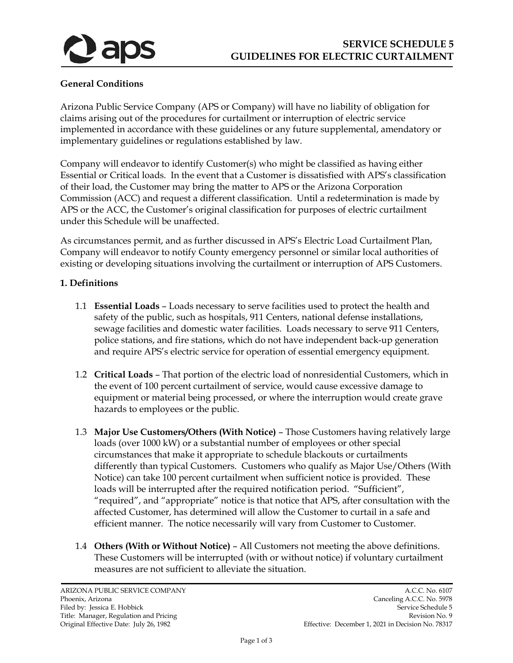

## **General Conditions**

Arizona Public Service Company (APS or Company) will have no liability of obligation for claims arising out of the procedures for curtailment or interruption of electric service implemented in accordance with these guidelines or any future supplemental, amendatory or implementary guidelines or regulations established by law.

Company will endeavor to identify Customer(s) who might be classified as having either Essential or Critical loads. In the event that a Customer is dissatisfied with APS's classification of their load, the Customer may bring the matter to APS or the Arizona Corporation Commission (ACC) and request a different classification. Until a redetermination is made by APS or the ACC, the Customer's original classification for purposes of electric curtailment under this Schedule will be unaffected.

As circumstances permit, and as further discussed in APS's Electric Load Curtailment Plan, Company will endeavor to notify County emergency personnel or similar local authorities of existing or developing situations involving the curtailment or interruption of APS Customers.

## **1. Definitions**

- 1.1 **Essential Loads** Loads necessary to serve facilities used to protect the health and safety of the public, such as hospitals, 911 Centers, national defense installations, sewage facilities and domestic water facilities. Loads necessary to serve 911 Centers, police stations, and fire stations, which do not have independent back-up generation and require APS's electric service for operation of essential emergency equipment.
- 1.2 **Critical Loads** That portion of the electric load of nonresidential Customers, which in the event of 100 percent curtailment of service, would cause excessive damage to equipment or material being processed, or where the interruption would create grave hazards to employees or the public.
- 1.3 **Major Use Customers/Others (With Notice)** Those Customers having relatively large loads (over 1000 kW) or a substantial number of employees or other special circumstances that make it appropriate to schedule blackouts or curtailments differently than typical Customers. Customers who qualify as Major Use/Others (With Notice) can take 100 percent curtailment when sufficient notice is provided. These loads will be interrupted after the required notification period. "Sufficient", "required", and "appropriate" notice is that notice that APS, after consultation with the affected Customer, has determined will allow the Customer to curtail in a safe and efficient manner. The notice necessarily will vary from Customer to Customer.
- 1.4 **Others (With or Without Notice)** All Customers not meeting the above definitions. These Customers will be interrupted (with or without notice) if voluntary curtailment measures are not sufficient to alleviate the situation.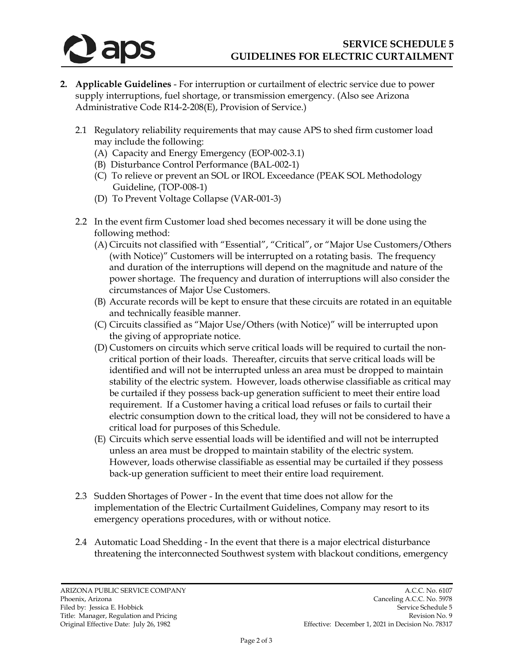

- **2. Applicable Guidelines**  For interruption or curtailment of electric service due to power supply interruptions, fuel shortage, or transmission emergency. (Also see Arizona Administrative Code R14-2-208(E), Provision of Service.)
	- 2.1 Regulatory reliability requirements that may cause APS to shed firm customer load may include the following:
		- (A) Capacity and Energy Emergency (EOP-002-3.1)
		- (B) Disturbance Control Performance (BAL-002-1)
		- (C) To relieve or prevent an SOL or IROL Exceedance (PEAK SOL Methodology Guideline, (TOP-008-1)
		- (D) To Prevent Voltage Collapse (VAR-001-3)
	- 2.2 In the event firm Customer load shed becomes necessary it will be done using the following method:
		- (A) Circuits not classified with "Essential", "Critical", or "Major Use Customers/Others (with Notice)" Customers will be interrupted on a rotating basis. The frequency and duration of the interruptions will depend on the magnitude and nature of the power shortage. The frequency and duration of interruptions will also consider the circumstances of Major Use Customers.
		- (B) Accurate records will be kept to ensure that these circuits are rotated in an equitable and technically feasible manner.
		- (C) Circuits classified as "Major Use/Others (with Notice)" will be interrupted upon the giving of appropriate notice.
		- (D) Customers on circuits which serve critical loads will be required to curtail the noncritical portion of their loads. Thereafter, circuits that serve critical loads will be identified and will not be interrupted unless an area must be dropped to maintain stability of the electric system. However, loads otherwise classifiable as critical may be curtailed if they possess back-up generation sufficient to meet their entire load requirement. If a Customer having a critical load refuses or fails to curtail their electric consumption down to the critical load, they will not be considered to have a critical load for purposes of this Schedule.
		- (E) Circuits which serve essential loads will be identified and will not be interrupted unless an area must be dropped to maintain stability of the electric system. However, loads otherwise classifiable as essential may be curtailed if they possess back-up generation sufficient to meet their entire load requirement.
	- 2.3 Sudden Shortages of Power In the event that time does not allow for the implementation of the Electric Curtailment Guidelines, Company may resort to its emergency operations procedures, with or without notice.
	- 2.4 Automatic Load Shedding In the event that there is a major electrical disturbance threatening the interconnected Southwest system with blackout conditions, emergency